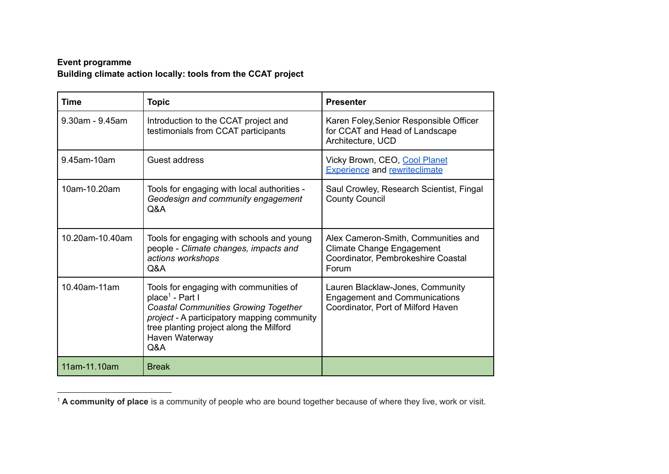## **Event programme Building climate action locally: tools from the CCAT project**

| <b>Time</b>           | <b>Topic</b>                                                                                                                                                                                                                                   | <b>Presenter</b>                                                                                                       |
|-----------------------|------------------------------------------------------------------------------------------------------------------------------------------------------------------------------------------------------------------------------------------------|------------------------------------------------------------------------------------------------------------------------|
| $9.30$ am - $9.45$ am | Introduction to the CCAT project and<br>testimonials from CCAT participants                                                                                                                                                                    | Karen Foley, Senior Responsible Officer<br>for CCAT and Head of Landscape<br>Architecture, UCD                         |
| 9.45am-10am           | Guest address                                                                                                                                                                                                                                  | Vicky Brown, CEO, Cool Planet<br><b>Experience and rewriteclimate</b>                                                  |
| 10am-10.20am          | Tools for engaging with local authorities -<br>Geodesign and community engagement<br>Q&A                                                                                                                                                       | Saul Crowley, Research Scientist, Fingal<br><b>County Council</b>                                                      |
| 10.20am-10.40am       | Tools for engaging with schools and young<br>people - Climate changes, impacts and<br>actions workshops<br>Q&A                                                                                                                                 | Alex Cameron-Smith, Communities and<br><b>Climate Change Engagement</b><br>Coordinator, Pembrokeshire Coastal<br>Forum |
| 10.40am-11am          | Tools for engaging with communities of<br>place <sup>1</sup> - Part I<br><b>Coastal Communities Growing Together</b><br><i>project</i> - A participatory mapping community<br>tree planting project along the Milford<br>Haven Waterway<br>Q&A | Lauren Blacklaw-Jones, Community<br><b>Engagement and Communications</b><br>Coordinator, Port of Milford Haven         |
| 11am-11.10am          | <b>Break</b>                                                                                                                                                                                                                                   |                                                                                                                        |

<sup>1</sup> **A community of place** is a community of people who are bound together because of where they live, work or visit.